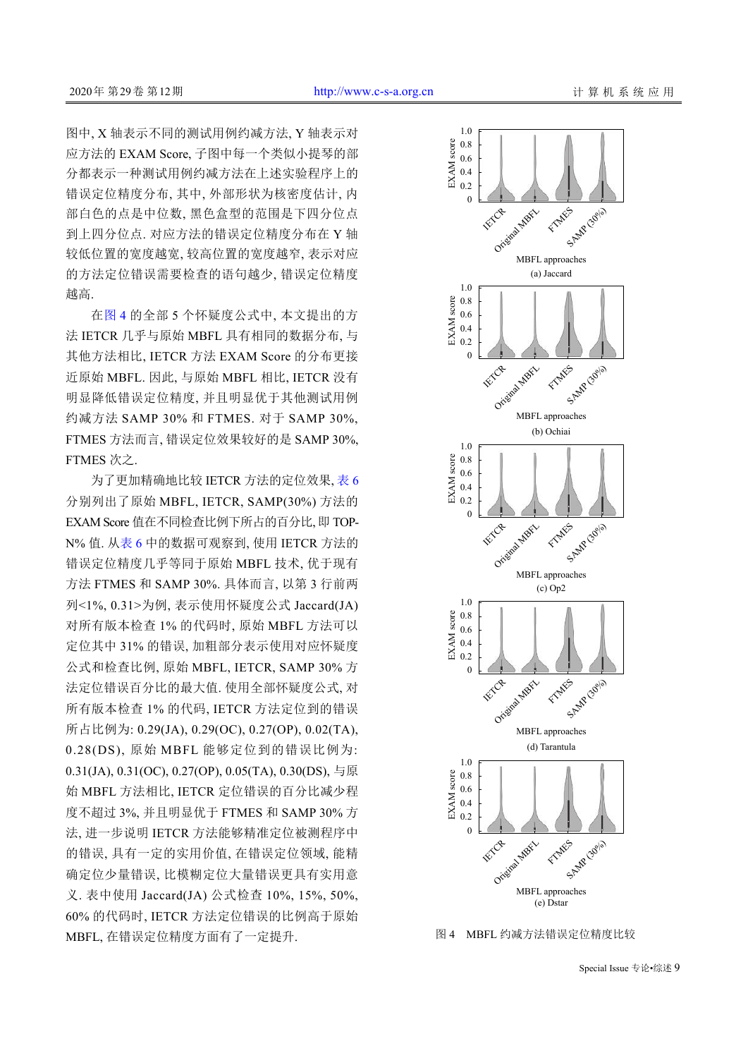图中, X 轴表示不同的测试用例约减方法, Y 轴表示对 应方法的 EXAM Score, 子图中每一个类似小提琴的部 分都表示一种测试用例约减方法在上述实验程序上的 错误定位精度分布, 其中, 外部形状为核密度估计, 内 部白色的点是中位数, 黑色盒型的范围是下四分位点 到上四分位点. 对应方法的错误定位精度分布在 Y 轴 较低位置的宽度越宽, 较高位置的宽度越窄, 表示对应 的方法定位错误需要检查的语句越少, 错误定位精度 越高.

在[图](#page-8-0) [4](#page-8-0) 的全部 5 个怀疑度公式中, 本文提出的方 法 IETCR 几乎与原始 MBFL 具有相同的数据分布, 与 其他方法相比, IETCR 方法 EXAM Score 的分布更接 近原始 MBFL. 因此, 与原始 MBFL 相比, IETCR 没有 明显降低错误定位精度, 并且明显优于其他测试用例 约减方法 SAMP 30% 和 FTMES. 对于 SAMP 30%, FTMES 方法而言, 错误定位效果较好的是 SAMP 30%, FTMES 次之.

为了更加精确地比较 IETCR 方法的定位效果, [表](#page-9-0) [6](#page-9-0) 分别列出了原始 MBFL, IETCR, SAMP(30%) 方法的 EXAM Score 值在不同检查比例下所占的百分比, 即 TOP-N% 值. 从[表](#page-9-0) [6](#page-9-0) 中的数据可观察到, 使用 IETCR 方法的 错误定位精度几乎等同于原始 MBFL 技术, 优于现有 方法 FTMES 和 SAMP 30%. 具体而言, 以第 3 行前两 列<1%, 0.31>为例, 表示使用怀疑度公式 Jaccard(JA) 对所有版本检查 1% 的代码时, 原始 MBFL 方法可以 定位其中 31% 的错误, 加粗部分表示使用对应怀疑度 公式和检查比例, 原始 MBFL, IETCR, SAMP 30% 方 法定位错误百分比的最大值. 使用全部怀疑度公式, 对 所有版本检查 1% 的代码, IETCR 方法定位到的错误 所占比例为: 0.29(JA), 0.29(OC), 0.27(OP), 0.02(TA), 0.28(DS), 原始 MBFL 能够定位到的错误比例为: 0.31(JA), 0.31(OC), 0.27(OP), 0.05(TA), 0.30(DS), 与原 始 MBFL 方法相比, IETCR 定位错误的百分比减少程 度不超过 3%, 并且明显优于 FTMES 和 SAMP 30% 方 法, 进一步说明 IETCR 方法能够精准定位被测程序中 的错误, 具有一定的实用价值, 在错误定位领域, 能精 确定位少量错误, 比模糊定位大量错误更具有实用意 义. 表中使用 Jaccard(JA) 公式检查 10%, 15%, 50%, 60% 的代码时, IETCR 方法定位错误的比例高于原始 MBFL, 在错误定位精度方面有了一定提升.



<span id="page-8-0"></span>图 4 MBFL 约减方法错误定位精度比较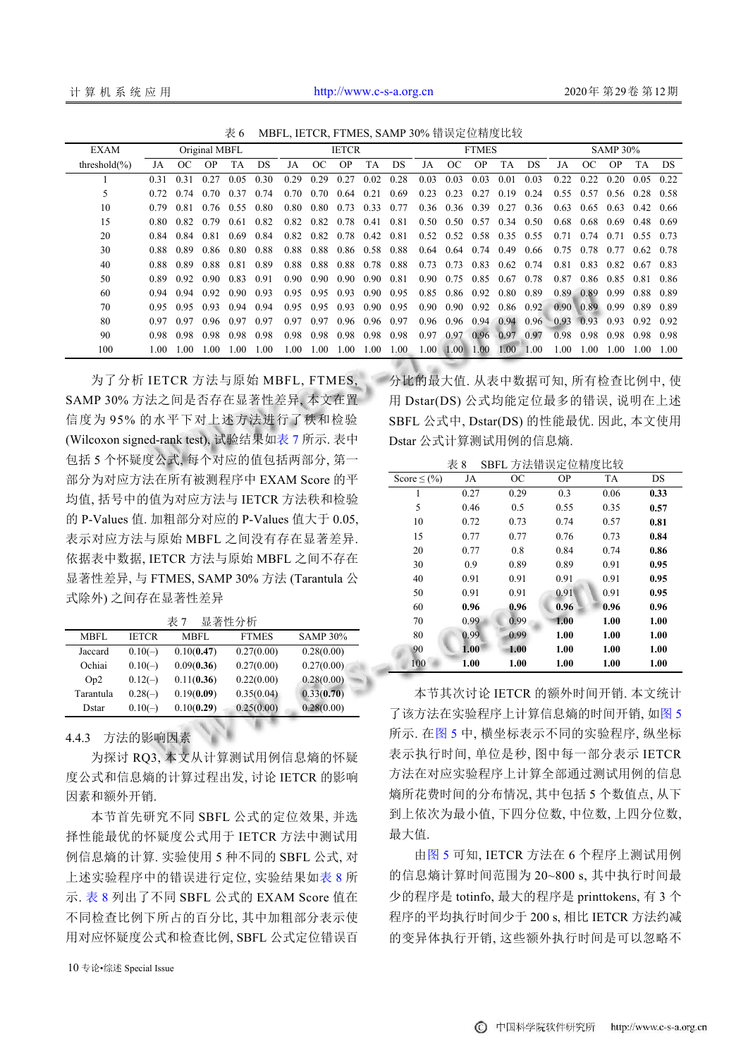<span id="page-9-0"></span>

| 表 6 |  |  |  |  |  | MBFL, IETCR, FTMES, SAMP 30% 错误定位精度比较 |
|-----|--|--|--|--|--|---------------------------------------|
|-----|--|--|--|--|--|---------------------------------------|

| <b>EXAM</b>       | Original MBFL |       |      | <b>IETCR</b> |      |      | <b>FTMES</b> |      |           | <b>SAMP 30%</b> |                   |           |           |           |      |                   |      |           |           |      |
|-------------------|---------------|-------|------|--------------|------|------|--------------|------|-----------|-----------------|-------------------|-----------|-----------|-----------|------|-------------------|------|-----------|-----------|------|
| threshold $(\% )$ | JA            | OC    | OP.  | <b>TA</b>    | DS   | JA   | OC           | OP.  | <b>TA</b> | DS              | JA                | OC        | OP.       | <b>TA</b> | DS.  | JA                | OC   | <b>OP</b> | <b>TA</b> | DS.  |
|                   | 0.31          | 0.31  | 0.27 | 0.05         | 0.30 | 0.29 | 0.29         | 0.27 | 0.02      | 0.28            | 0.03              | 0.03      | 0.03      | 0.01      | 0.03 | 0.22              | 0.22 | 0.20      | 0.05      | 0.22 |
| 5                 |               | 0.74  | 0.70 | 0.37         | 0.74 | 0.70 | 0.70         | 0.64 | 0.21      | 0.69            | 0.23              | 0.23      | 0.27      | 0.19      | 0.24 | 0.55              | 0.57 | 0.56      | 0.28      | 0.58 |
| 10                | 0.79          | 0.81  | 0.76 | 0.55         | 0.80 | 0.80 | 0.80         | 0.73 | 0.33      | 0.77            | 0.36              | 0.36      | 0.39      | 0.27      | 0.36 | 0.63              | 0.65 | 0.63      | 0.42      | 0.66 |
| 15                | 0.80          | 0.82  | 0.79 | 0.61         | 0.82 | 0.82 | 0.82         | 0.78 | 0.41      | 0.81            | 0.50              | 0.50      | 0.57      | 0.34      | 0.50 | 0.68              | 0.68 | 0.69      | 0.48      | 0.69 |
| 20                | 0.84          | 0.84  | 0.81 | 0.69         | 0.84 | 0.82 | 0.82         | 0.78 | 0.42      | 0.81            | 0.52              | 0.52      | 0.58      | 0.35 0.55 |      | 0.71              | 0.74 | 0.71      | 0.55      | 0.73 |
| 30                | 0.88          | 0.89  | 0.86 | 0.80         | 0.88 | 0.88 | 0.88         |      | 0.86 0.58 | 0.88            | 0.64              |           | 0.64 0.74 | 0.49      | 0.66 | 0.75              | 0.78 | 0.77      | 0.62      | 0.78 |
| 40                | 0.88          | 0.89  | 0.88 | 0.81         | 0.89 | 0.88 | 0.88         | 0.88 | 0.78      | 0.88            | 0.73              | 0.73      | 0.83      | 0.62      | 0.74 | 0.81              | 0.83 | 0.82      | 0.67      | 0.83 |
| 50                | 0.89          | 0.92  | 0.90 | 0.83         | 0.91 | 0.90 | 0.90         | 0.90 | 0.90      | 0.81            | 0.90              | 0.75      | 0.85      | 0.67      | 0.78 | 0.87              | 0.86 | 0.85      | 0.81      | 0.86 |
| 60                | 0.94          | 0.94  | 0.92 | 0.90         | 0.93 | 0.95 | 0.95         | 0.93 | 0.90      | 0.95            | 0.85              | 0.86      | 0.92      | 0.80      | 0.89 | 0.89              | 0.89 | 0.99      | 0.88      | 0.89 |
| 70                | 0.95          | 0.95  | 0.93 | 0.94         | 0.94 | 0.95 | 0.95         | 0.93 | 0.90      | 0.95            | $0.90^{\circ}$    | 0.90      | 0.92      | 0.86      | 0.92 | 0.90 <sup>1</sup> | 0.89 | 0.99      | 0.89      | 0.89 |
| 80                | 0.97          | 0.97  | 0.96 | 0.97         | 0.97 | 0.97 | 0.97         | 0.96 | 0.96      | 0.97            | 0.96              | 0.96      |           | 0.94 0.94 | 0.96 | 0.93 0.93         |      | 0.93      | 0.92      | 0.92 |
| 90                | 0.98          | 0.98  | 0.98 | 0.98         | 0.98 | 0.98 | 0.98         | 0.98 | 0.98      | 0.98            | 0.97              | 0.97      |           | 0.96 0.97 | 0.97 | 0.98              | 0.98 | 0.98      | 0.98      | 0.98 |
| 100               | 1 OO.         | L 00. | 00   | 1.00         | 00   | 1.00 | 1.00         | 1.00 | 1.00      | 1.00            | 1.00 <sub>l</sub> | 1.00 1.00 |           | 1.00      | 1.00 | 1.00              | 1.00 | 1.00      | 1.00      | 1.00 |

为了分析 IETCR 方法与原始 MBFL, FTMES, SAMP 30% 方法之间是否存在显著性差异, 本文在置 信度为 95% 的水平下对上述方法进行了秩和检验 (Wilcoxon signed-rank test), 试验结果[如表](#page-9-1) [7](#page-9-1) 所示. 表中 包括 5 个怀疑度公式, 每个对应的值包括两部分, 第一 部分为对应方法在所有被测程序中 EXAM Score 的平 均值, 括号中的值为对应方法与 IETCR 方法秩和检验 的 P-Values 值. 加粗部分对应的 P-Values 值大于 0.05, 表示对应方法与原始 MBFL 之间没有存在显著差异. 依据表中数据, IETCR 方法与原始 MBFL 之间不存在 显著性差异, 与 FTMES, SAMP 30% 方法 (Tarantula 公 式除外) 之间存在显著性差异

| $\sim$ 1<br><del>프로스크</del> - 1그 - 7J - 17 1 |              |             |              |                 |  |  |  |  |  |
|----------------------------------------------|--------------|-------------|--------------|-----------------|--|--|--|--|--|
| MBFL                                         | <b>IETCR</b> | <b>MBFL</b> | <b>FTMES</b> | <b>SAMP 30%</b> |  |  |  |  |  |
| Jaccard                                      | $0.10(-)$    | 0.10(0.47)  | 0.27(0.00)   | 0.28(0.00)      |  |  |  |  |  |
| Ochiai                                       | $0.10(-)$    | 0.09(0.36)  | 0.27(0.00)   | 0.27(0.00)      |  |  |  |  |  |
| Op2                                          | $0.12(-)$    | 0.11(0.36)  | 0.22(0.00)   | 0.28(0.00)      |  |  |  |  |  |
| Tarantula                                    | $0.28(-)$    | 0.19(0.09)  | 0.35(0.04)   | 0.33(0.70)      |  |  |  |  |  |
| Dstar                                        | $0.10(-)$    | 0.10(0.29)  | 0.25(0.00)   | 0.28(0.00)      |  |  |  |  |  |

<span id="page-9-1"></span>表 7 显著性分析

4.4.3 方法的影响因素

为探讨 RQ3, 本文从计算测试用例信息熵的怀疑 度公式和信息熵的计算过程出发, 讨论 IETCR 的影响 因素和额外开销.

本节首先研究不同 SBFL 公式的定位效果, 并选 择性能最优的怀疑度公式用于 IETCR 方法中测试用 例信息熵的计算. 实验使用 5 种不同的 SBFL 公式, 对 上述实验程序中的错误进行定位, 实验结果如[表](#page-9-2) [8](#page-9-2) 所 示. [表](#page-9-2) [8](#page-9-2) 列出了不同 SBFL 公式的 EXAM Score 值在 不同检查比例下所占的百分比, 其中加粗部分表示使 用对应怀疑度公式和检查比例, SBFL 公式定位错误百

10 专论•综述 Special Issue

分比的最大值. 从表中数据可知, 所有检查比例中, 使 用 Dstar(DS) 公式均能定位最多的错误, 说明在上述 SBFL 公式中, Dstar(DS) 的性能最优. 因此, 本文使用 Dstar 公式计算测试用例的信息熵.

<span id="page-9-2"></span>表 8 SBFL 方法错误定位精度比较

| Score $\leq$ (%) | JA   | <b>OC</b> | <b>OP</b> | <b>TA</b> | DS   |
|------------------|------|-----------|-----------|-----------|------|
| 1                | 0.27 | 0.29      | 0.3       | 0.06      | 0.33 |
| 5                | 0.46 | 0.5       | 0.55      | 0.35      | 0.57 |
| 10               | 0.72 | 0.73      | 0.74      | 0.57      | 0.81 |
| 15               | 0.77 | 0.77      | 0.76      | 0.73      | 0.84 |
| 20               | 0.77 | 0.8       | 0.84      | 0.74      | 0.86 |
| 30               | 0.9  | 0.89      | 0.89      | 0.91      | 0.95 |
| 40               | 0.91 | 0.91      | 0.91      | 0.91      | 0.95 |
| 50               | 0.91 | 0.91      | 0.91      | 0.91      | 0.95 |
| 60               | 0.96 | 0.96      | 0.96      | 0.96      | 0.96 |
| 70               | 0.99 | 0.99      | 1.00      | 1.00      | 1.00 |
| 80               | 0.99 | 0.99      | 1.00      | 1.00      | 1.00 |
| 90               | 1.00 | 1.00      | 1.00      | 1.00      | 1.00 |
| 100              | 1.00 | 1.00      | 1.00      | 1.00      | 1.00 |

本节其次讨论 IETCR 的额外时间开销. 本文统计 了该方法在实验程序上计算信息熵的时间开销, [如图](#page-10-0) [5](#page-10-0) 所示. 在[图](#page-10-0) [5](#page-10-0) 中, 横坐标表示不同的实验程序, 纵坐标 表示执行时间, 单位是秒, 图中每一部分表示 IETCR 方法在对应实验程序上计算全部通过测试用例的信息 熵所花费时间的分布情况, 其中包括 5 个数值点, 从下 到上依次为最小值, 下四分位数, 中位数, 上四分位数, 最大值.

由[图](#page-10-0) [5](#page-10-0) 可知, IETCR 方法在 6 个程序上测试用例 的信息熵计算时间范围为 20~800 s, 其中执行时间最 少的程序是 totinfo, 最大的程序是 printtokens, 有 3 个 程序的平均执行时间少于 200 s, 相比 IETCR 方法约减 的变异体执行开销, 这些额外执行时间是可以忽略不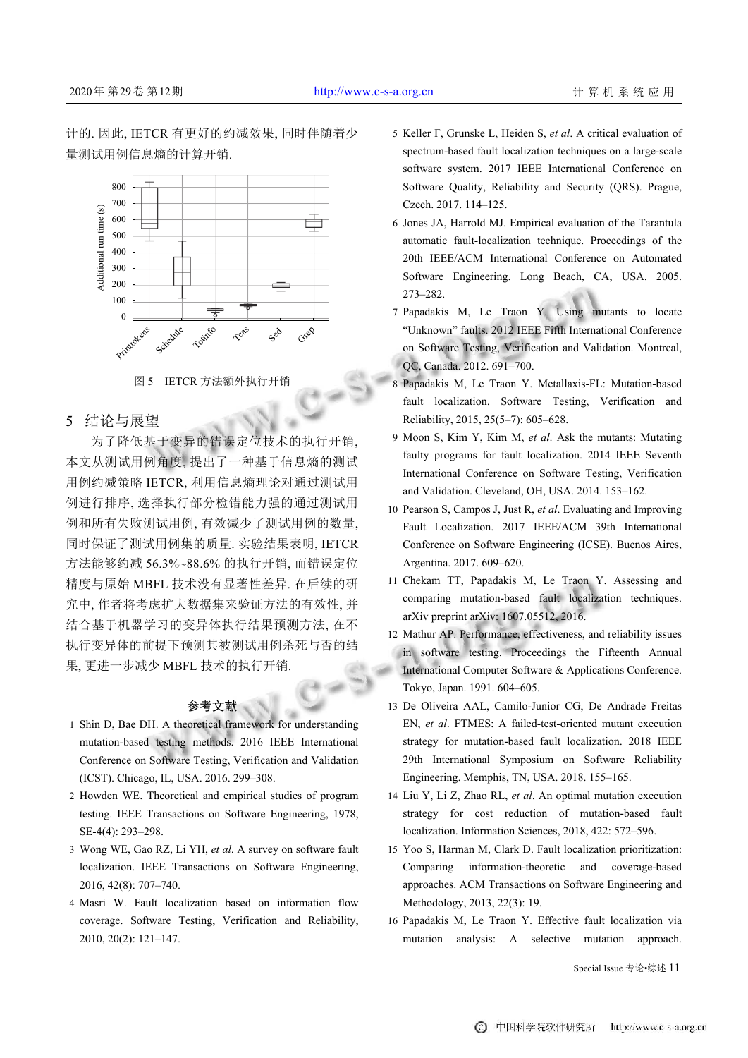计的. 因此, IETCR 有更好的约减效果, 同时伴随着少 量测试用例信息熵的计算开销.



图 5 IETCR 方法额外执行开销

<span id="page-10-0"></span>5 结论与展望

为了降低基于变异的错误定位技术的执行开销, 本文从测试用例角度, 提出了一种基于信息熵的测试 用例约减策略 IETCR, 利用信息熵理论对通过测试用 例进行排序, 选择执行部分检错能力强的通过测试用 例和所有失败测试用例, 有效减少了测试用例的数量, 同时保证了测试用例集的质量. 实验结果表明, IETCR 方法能够约减 56.3%~88.6% 的执行开销, 而错误定位 精度与原始 MBFL 技术没有显著性差异. 在后续的研 究中, 作者将考虑扩大数据集来验证方法的有效性, 并 结合基于机器学习的变异体执行结果预测方法, 在不 执行变异体的前提下预测其被测试用例杀死与否的结 果, 更进一步减少 MBFL 技术的执行开销.

## 参考文献

- Shin D, Bae DH. A theoretical framework for understanding 1 mutation-based testing methods. 2016 IEEE International Conference on Software Testing, Verification and Validation (ICST). Chicago, IL, USA. 2016. 299–308.
- 2 Howden WE. Theoretical and empirical studies of program testing. IEEE Transactions on Software Engineering, 1978, SE-4(4): 293–298.
- Wong WE, Gao RZ, Li YH, *et al*. A survey on software fault 3 localization. IEEE Transactions on Software Engineering, 2016, 42(8): 707–740.
- Masri W. Fault localization based on information flow 4 coverage. Software Testing, Verification and Reliability, 2010, 20(2): 121–147.
- 5 Keller F, Grunske L, Heiden S, et al. A critical evaluation of spectrum-based fault localization techniques on a large-scale software system. 2017 IEEE International Conference on Software Quality, Reliability and Security (QRS). Prague, Czech. 2017. 114–125.
- 6 Jones JA, Harrold MJ. Empirical evaluation of the Tarantula automatic fault-localization technique. Proceedings of the 20th IEEE/ACM International Conference on Automated Software Engineering. Long Beach, CA, USA. 2005. 273–282.
- Papadakis M, Le Traon Y. Using mutants to locate 7 "Unknown" faults. 2012 IEEE Fifth International Conference on Software Testing, Verification and Validation. Montreal, QC, Canada. 2012. 691–700.
- Papadakis M, Le Traon Y. Metallaxis-FL: Mutation-based 8 fault localization. Software Testing, Verification and Reliability, 2015, 25(5–7): 605–628.
- 9 Moon S, Kim Y, Kim M, et al. Ask the mutants: Mutating faulty programs for fault localization. 2014 IEEE Seventh International Conference on Software Testing, Verification and Validation. Cleveland, OH, USA. 2014. 153–162.
- 10 Pearson S, Campos J, Just R, et al. Evaluating and Improving Fault Localization. 2017 IEEE/ACM 39th International Conference on Software Engineering (ICSE). Buenos Aires, Argentina. 2017. 609–620.
- 11 Chekam TT, Papadakis M, Le Traon Y. Assessing and comparing mutation-based fault localization techniques. arXiv preprint arXiv: 1607.05512, 2016.
- 12 Mathur AP. Performance, effectiveness, and reliability issues in software testing. Proceedings the Fifteenth Annual International Computer Software & Applications Conference. Tokyo, Japan. 1991. 604–605.
- 13 De Oliveira AAL, Camilo-Junior CG, De Andrade Freitas EN, *et al*. FTMES: A failed-test-oriented mutant execution strategy for mutation-based fault localization. 2018 IEEE 29th International Symposium on Software Reliability Engineering. Memphis, TN, USA. 2018. 155–165.
- Liu Y, Li Z, Zhao RL, *et al*. An optimal mutation execution 14 strategy for cost reduction of mutation-based fault localization. Information Sciences, 2018, 422: 572–596.
- Yoo S, Harman M, Clark D. Fault localization prioritization: 15 Comparing information-theoretic and coverage-based approaches. ACM Transactions on Software Engineering and Methodology, 2013, 22(3): 19.
- 16 Papadakis M, Le Traon Y. Effective fault localization via mutation analysis: A selective mutation approach.

Special Issue 专论•综述 11